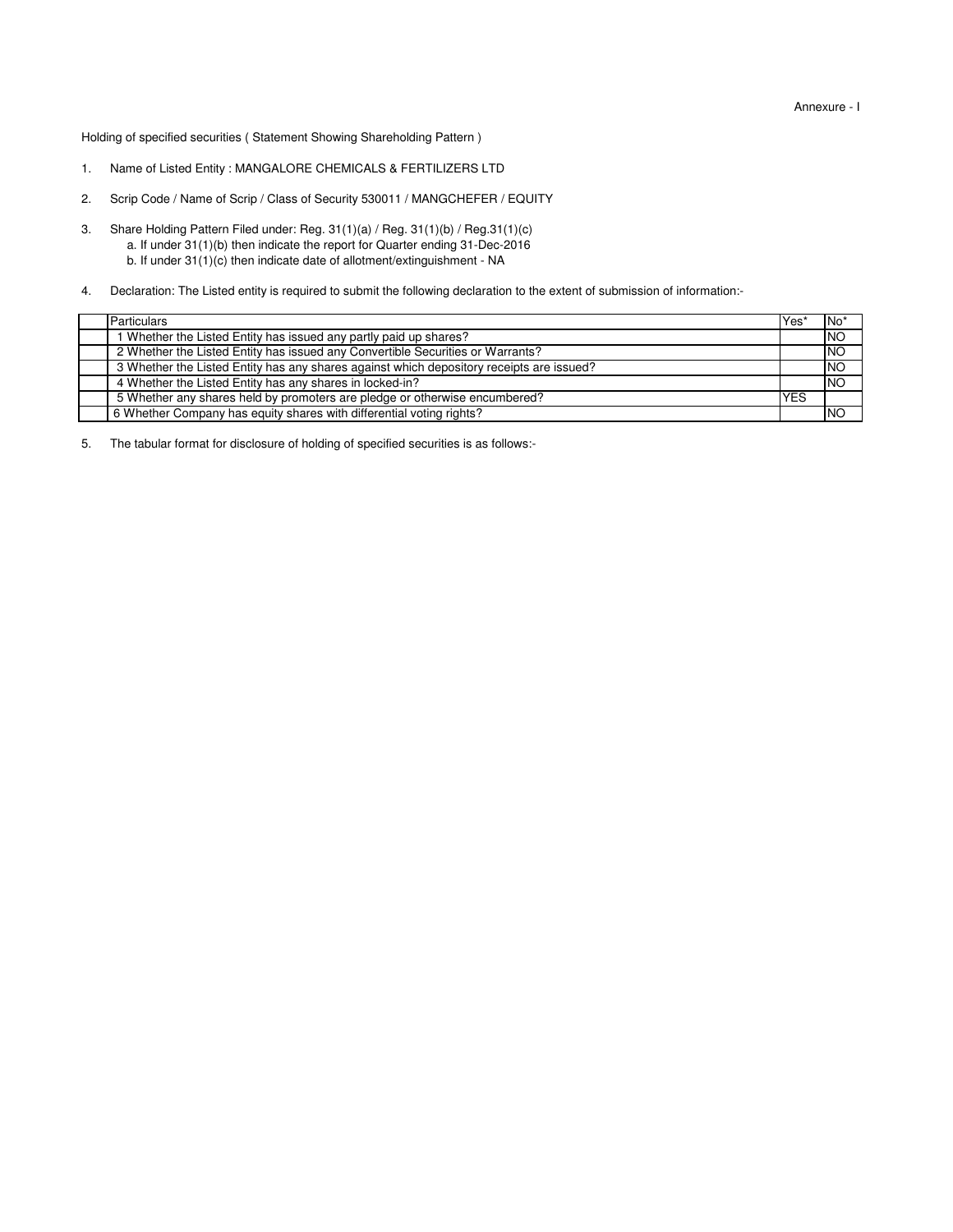Holding of specified securities ( Statement Showing Shareholding Pattern )

- 1. Name of Listed Entity : MANGALORE CHEMICALS & FERTILIZERS LTD
- 2. Scrip Code / Name of Scrip / Class of Security 530011 / MANGCHEFER / EQUITY
- 3. a. If under 31(1)(b) then indicate the report for Quarter ending 31-Dec-2016 Share Holding Pattern Filed under: Reg. 31(1)(a) / Reg. 31(1)(b) / Reg.31(1)(c) b. If under 31(1)(c) then indicate date of allotment/extinguishment - NA
- 4. Declaration: The Listed entity is required to submit the following declaration to the extent of submission of information:-

| Particulars |                                                                                          | lYes <sup>®</sup> | $No*$          |
|-------------|------------------------------------------------------------------------------------------|-------------------|----------------|
|             | 1 Whether the Listed Entity has issued any partly paid up shares?                        |                   | <b>NO</b>      |
|             | 2 Whether the Listed Entity has issued any Convertible Securities or Warrants?           |                   | N              |
|             | 3 Whether the Listed Entity has any shares against which depository receipts are issued? |                   | <b>NO</b>      |
|             | 4 Whether the Listed Entity has any shares in locked-in?                                 |                   | N <sup>O</sup> |
|             | 5 Whether any shares held by promoters are pledge or otherwise encumbered?               | <b>YES</b>        |                |
|             | 6 Whether Company has equity shares with differential voting rights?                     |                   | <b>INO</b>     |

5. The tabular format for disclosure of holding of specified securities is as follows:-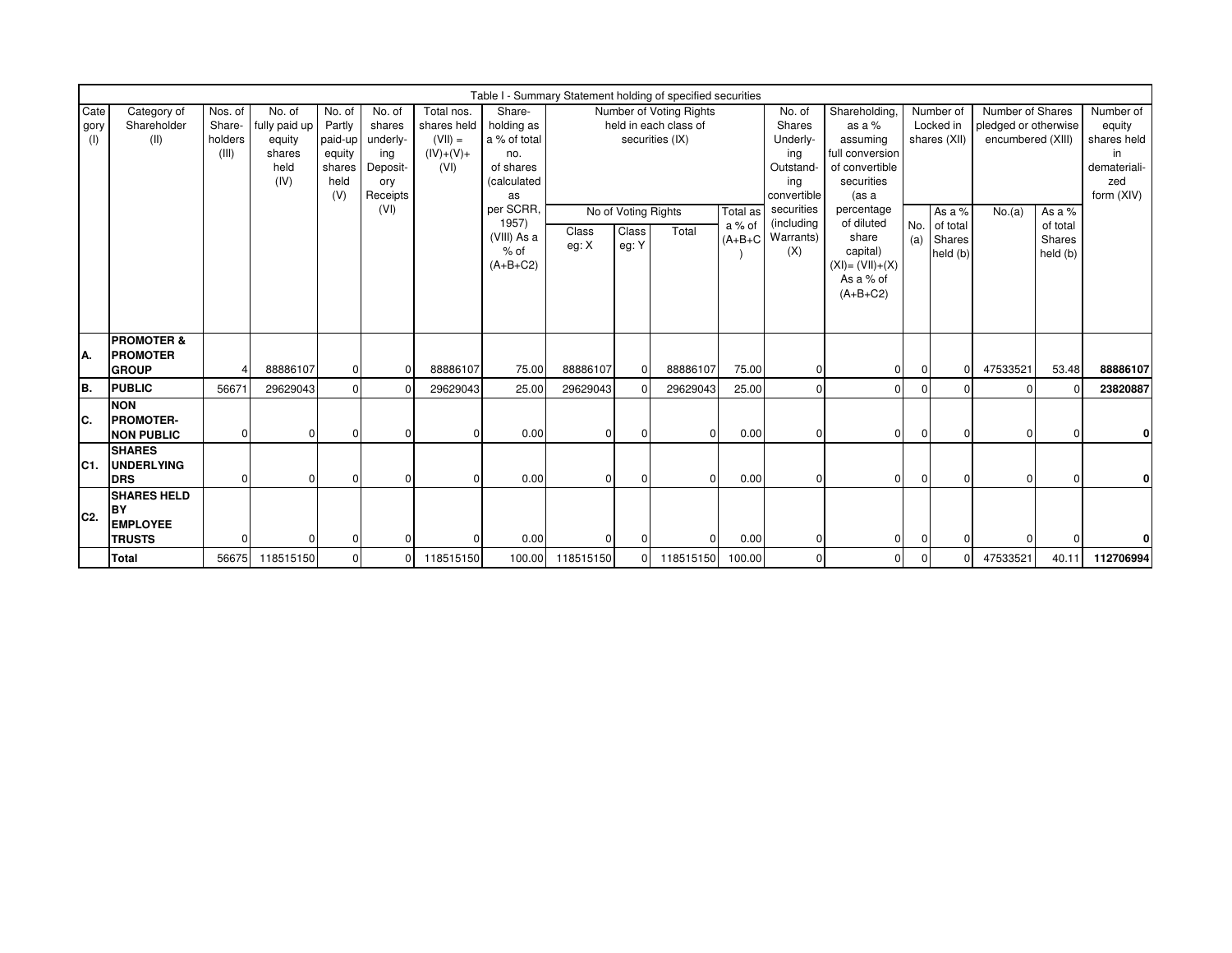|                     | Table I - Summary Statement holding of specified securities         |                                       |                                                             |                                                                |                                                                    |                                                               |                                                                               |                |                                       |                                                                     |                    |                                                                        |                                                                                                  |            |                                          |                                                               |                                          |                                                                               |
|---------------------|---------------------------------------------------------------------|---------------------------------------|-------------------------------------------------------------|----------------------------------------------------------------|--------------------------------------------------------------------|---------------------------------------------------------------|-------------------------------------------------------------------------------|----------------|---------------------------------------|---------------------------------------------------------------------|--------------------|------------------------------------------------------------------------|--------------------------------------------------------------------------------------------------|------------|------------------------------------------|---------------------------------------------------------------|------------------------------------------|-------------------------------------------------------------------------------|
| Cate<br>gory<br>(1) | Category of<br>Shareholder<br>(II)                                  | Nos. of<br>Share-<br>holders<br>(III) | No. of<br>fully paid up<br>equity<br>shares<br>held<br>(IV) | No. of<br>Partly<br>paid-up<br>equity<br>shares<br>held<br>(V) | No. of<br>shares<br>underly-<br>ing<br>Deposit-<br>ory<br>Receipts | Total nos.<br>shares held<br>$(VII) =$<br>$(IV)+(V)+$<br>(VI) | Share-<br>holding as<br>a % of total<br>no.<br>of shares<br>(calculated<br>as |                |                                       | Number of Voting Rights<br>held in each class of<br>securities (IX) |                    | No. of<br>Shares<br>Underly-<br>ing<br>Outstand-<br>ing<br>convertible | Shareholding.<br>as a %<br>assuming<br>full conversion<br>of convertible<br>securities<br>(as a  |            | Number of<br>Locked in<br>shares (XII)   | Number of Shares<br>pledged or otherwise<br>encumbered (XIII) |                                          | Number of<br>equity<br>shares held<br>in<br>demateriali-<br>zed<br>form (XIV) |
|                     |                                                                     |                                       |                                                             |                                                                | (VI)                                                               |                                                               | per SCRR,<br>1957)<br>(VIII) As a<br>$%$ of<br>$(A+B+C2)$                     | Class<br>eg: X | No of Voting Rights<br>Class<br>eg: Y | Total                                                               | Total as<br>a % of | securities<br>(including<br>$(A+B+C$ Warrants)<br>(X)                  | percentage<br>of diluted<br>share<br>capital)<br>$(XI) = (VII) + (X)$<br>As a % of<br>$(A+B+C2)$ | No.<br>(a) | As a %<br>of total<br>Shares<br>held (b) | No.(a)                                                        | As a %<br>of total<br>Shares<br>held (b) |                                                                               |
| IA.                 | <b>PROMOTER &amp;</b><br><b>PROMOTER</b><br><b>GROUP</b>            | 4                                     | 88886107                                                    | $\overline{0}$                                                 |                                                                    | 88886107                                                      | 75.00                                                                         | 88886107       | $\Omega$                              | 88886107                                                            | 75.00              | $\Omega$                                                               | $\Omega$                                                                                         |            |                                          | 47533521                                                      | 53.48                                    | 88886107                                                                      |
| lв.                 | <b>PUBLIC</b>                                                       | 56671                                 | 29629043                                                    | $\Omega$                                                       |                                                                    | 29629043                                                      | 25.00                                                                         | 29629043       |                                       | 29629043                                                            | 25.00              | $\Omega$                                                               | U                                                                                                |            |                                          | $\Omega$                                                      |                                          | 23820887                                                                      |
| IC.                 | <b>NON</b><br><b>PROMOTER-</b><br><b>NON PUBLIC</b>                 | $\overline{0}$                        | $\Omega$                                                    | $\Omega$                                                       |                                                                    |                                                               | 0.00                                                                          | 0              | $\Omega$                              | $\overline{0}$                                                      | 0.00               | $\Omega$                                                               | $\overline{0}$                                                                                   | $\Omega$   | $\Omega$                                 | $\overline{0}$                                                | $\overline{0}$                           | 0                                                                             |
| IC1.                | <b>SHARES</b><br><b>UNDERLYING</b><br><b>IDRS</b>                   | $\Omega$                              |                                                             | $\Omega$                                                       |                                                                    |                                                               | 0.00                                                                          | U              | $\Omega$                              | $\Omega$                                                            | 0.00               | $\Omega$                                                               | $\Omega$                                                                                         |            | U                                        | $\Omega$                                                      | $\Omega$                                 | Οl                                                                            |
| IC2.                | <b>SHARES HELD</b><br><b>BY</b><br><b>EMPLOYEE</b><br><b>TRUSTS</b> | $\Omega$                              |                                                             | $\Omega$                                                       |                                                                    |                                                               | 0.00                                                                          |                |                                       | $\Omega$                                                            | 0.00               | $\Omega$                                                               | $\Omega$                                                                                         |            |                                          | $\Omega$                                                      |                                          |                                                                               |
|                     | <b>Total</b>                                                        | 56675                                 | 118515150                                                   | $\Omega$                                                       | $\Omega$                                                           | 118515150                                                     | 100.00                                                                        | 118515150      |                                       | 118515150                                                           | 100.00             | $\Omega$                                                               | 0                                                                                                |            |                                          | 47533521                                                      | 40.11                                    | 112706994                                                                     |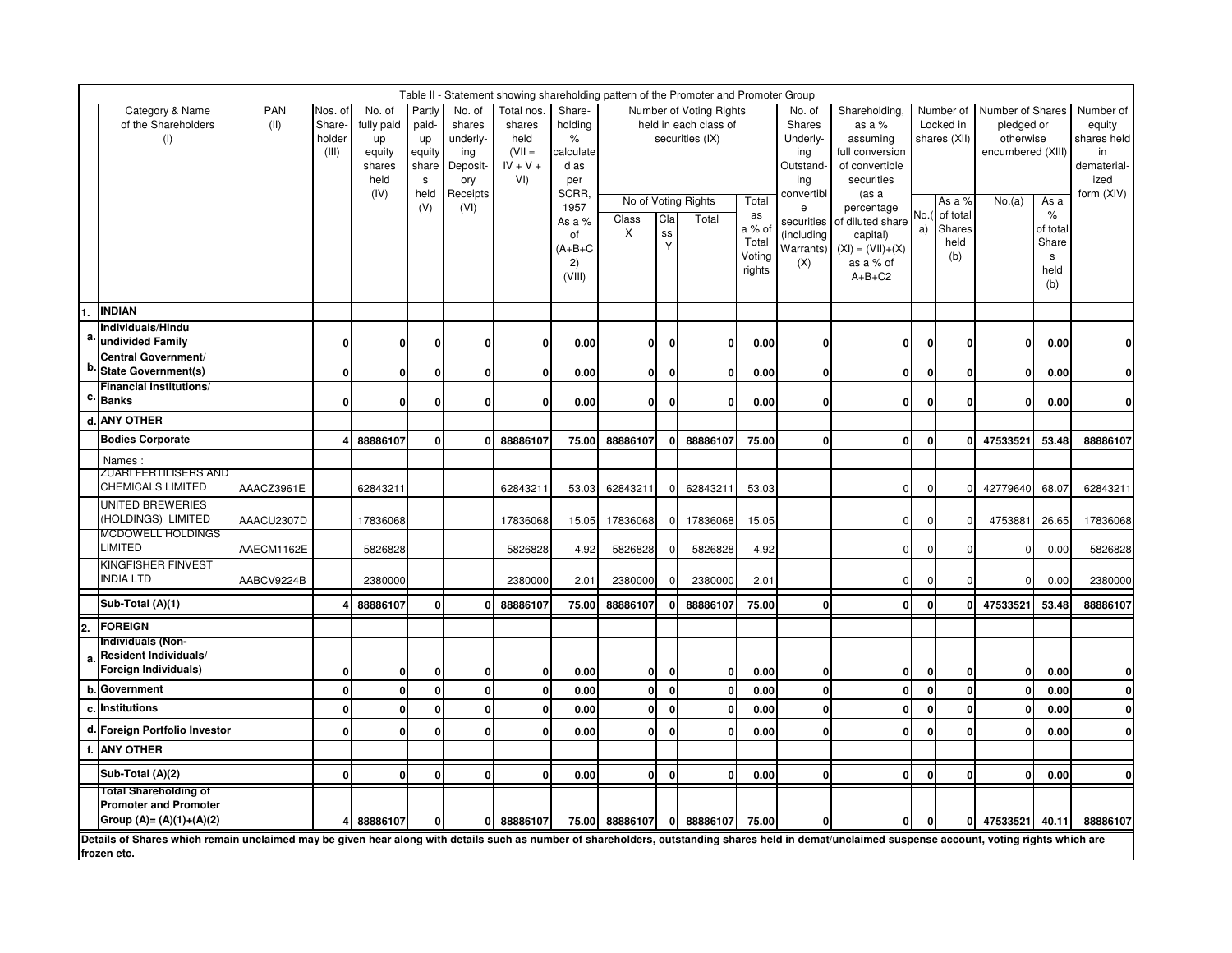|                  | Table II - Statement showing shareholding pattern of the Promoter and Promoter Group<br>Number of Voting Rights |                    |                                      |                                                                |                                                              |                                                                            |                                                                         |                                                                                                                    |                                                                                                                                                                |              |             |               |                                                                                                                       |                                                                                                                                                                                              |              |                                                                                       |                                                                            |                                                       |                                                                               |
|------------------|-----------------------------------------------------------------------------------------------------------------|--------------------|--------------------------------------|----------------------------------------------------------------|--------------------------------------------------------------|----------------------------------------------------------------------------|-------------------------------------------------------------------------|--------------------------------------------------------------------------------------------------------------------|----------------------------------------------------------------------------------------------------------------------------------------------------------------|--------------|-------------|---------------|-----------------------------------------------------------------------------------------------------------------------|----------------------------------------------------------------------------------------------------------------------------------------------------------------------------------------------|--------------|---------------------------------------------------------------------------------------|----------------------------------------------------------------------------|-------------------------------------------------------|-------------------------------------------------------------------------------|
|                  | Category & Name<br>of the Shareholders<br>(1)                                                                   | <b>PAN</b><br>(II) | Nos. of<br>Share-<br>holder<br>(III) | No. of<br>fully paid<br>up<br>equity<br>shares<br>held<br>(IV) | Partly<br>paid-<br>up<br>equity<br>share<br>s<br>held<br>(V) | No. of<br>shares<br>underly-<br>ing<br>Deposit-<br>ory<br>Receipts<br>(VI) | Total nos<br>shares<br>held<br>$(VII =$<br>$IV + V +$<br>V <sub>1</sub> | Share-<br>holding<br>$\%$<br>calculate<br>d as<br>per<br>SCRR.<br>1957<br>As a %<br>of<br>$(A+B+C$<br>2)<br>(VIII) | held in each class of<br>securities (IX)<br>No of Voting Rights<br>Total<br>as<br>Cla<br>Total<br>Class<br>a % of<br>X<br>SS<br>Total<br>Y<br>Voting<br>rights |              |             |               | No. of<br>Shares<br>Underly-<br>ing<br>Outstand-<br>ing<br>convertibl<br>securities<br>(including<br>Warrants)<br>(X) | Shareholding,<br>as a %<br>assuming<br>full conversion<br>of convertible<br>securities<br>(as a<br>percentage<br>of diluted share<br>capital)<br>$(XI) = (VII)+(X)$<br>as a % of<br>$A+B+C2$ | No.<br>a)    | Number of<br>Locked in<br>shares (XII)<br>As a %<br>of total<br>Shares<br>held<br>(b) | Number of Shares<br>pledged or<br>otherwise<br>encumbered (XIII)<br>No.(a) | As a<br>$\%$<br>of total<br>Share<br>s<br>held<br>(b) | Number of<br>equity<br>shares held<br>in<br>dematerial-<br>ized<br>form (XIV) |
|                  | <b>INDIAN</b><br>Individuals/Hindu                                                                              |                    |                                      |                                                                |                                                              |                                                                            |                                                                         |                                                                                                                    |                                                                                                                                                                |              |             |               |                                                                                                                       |                                                                                                                                                                                              |              |                                                                                       |                                                                            |                                                       |                                                                               |
|                  | undivided Family                                                                                                |                    | $\Omega$                             | $\mathbf{0}$                                                   | $\Omega$                                                     | $\bf{0}$                                                                   | $\mathbf{0}$                                                            | 0.00                                                                                                               | 0l                                                                                                                                                             | 0            | $\mathbf 0$ | 0.00          | $\mathbf{0}$                                                                                                          | Οl                                                                                                                                                                                           | $\mathbf{0}$ | $\Omega$                                                                              | $\mathbf{0}$                                                               | 0.00                                                  | $\mathbf{0}$                                                                  |
|                  | Central Government/<br><b>State Government(s)</b>                                                               |                    | $\Omega$                             | $\mathbf{0}$                                                   | $\Omega$                                                     | $\bf{0}$                                                                   | $\mathbf{0}$                                                            | 0.00                                                                                                               | 0l                                                                                                                                                             | 0            | $\mathbf 0$ | 0.00          | 0l                                                                                                                    | Οl                                                                                                                                                                                           | 0            | $\Omega$                                                                              | $\mathbf{0}$                                                               | 0.00                                                  | $\mathbf{0}$                                                                  |
|                  | <b>Financial Institutions/</b><br><b>Banks</b>                                                                  |                    | ŋ                                    | 0                                                              | n                                                            | 0                                                                          | $\mathbf{0}$                                                            | 0.00                                                                                                               | 01                                                                                                                                                             | 0            | $\bf{0}$    | 0.00          | $\Omega$                                                                                                              | 0                                                                                                                                                                                            | n            | ŋ                                                                                     | $\mathbf{0}$                                                               | 0.00                                                  | $\mathbf{0}$                                                                  |
|                  | <b>ANY OTHER</b>                                                                                                |                    |                                      |                                                                |                                                              |                                                                            |                                                                         |                                                                                                                    |                                                                                                                                                                |              |             |               |                                                                                                                       |                                                                                                                                                                                              |              |                                                                                       |                                                                            |                                                       |                                                                               |
|                  | <b>Bodies Corporate</b>                                                                                         |                    |                                      | 88886107                                                       | $\mathbf 0$                                                  | n                                                                          | 88886107                                                                | 75.00                                                                                                              | 88886107                                                                                                                                                       | 0            | 88886107    | 75.00         | $\mathbf{0}$                                                                                                          | $\mathbf{0}$                                                                                                                                                                                 | $\Omega$     | ŋ                                                                                     | 47533521                                                                   | 53.48                                                 | 88886107                                                                      |
|                  | Names :                                                                                                         |                    |                                      |                                                                |                                                              |                                                                            |                                                                         |                                                                                                                    |                                                                                                                                                                |              |             |               |                                                                                                                       |                                                                                                                                                                                              |              |                                                                                       |                                                                            |                                                       |                                                                               |
|                  | ZUARI FERTILISERS AND<br><b>CHEMICALS LIMITED</b>                                                               | AAACZ3961E         |                                      | 62843211                                                       |                                                              |                                                                            | 62843211                                                                | 53.03                                                                                                              | 62843211                                                                                                                                                       | ŋ            | 62843211    | 53.03         |                                                                                                                       | $\mathbf 0$                                                                                                                                                                                  | $\Omega$     | $\Omega$                                                                              | 42779640                                                                   | 68.07                                                 | 62843211                                                                      |
|                  | UNITED BREWERIES<br>(HOLDINGS) LIMITED                                                                          | AAACU2307D         |                                      | 17836068                                                       |                                                              |                                                                            | 17836068                                                                | 15.05                                                                                                              | 17836068                                                                                                                                                       |              | 17836068    | 15.05         |                                                                                                                       | $\mathbf{0}$                                                                                                                                                                                 |              | <sup>0</sup>                                                                          | 4753881                                                                    | 26.65                                                 | 17836068                                                                      |
|                  | <b>MCDOWELL HOLDINGS</b><br><b>LIMITED</b>                                                                      | AAECM1162E         |                                      | 5826828                                                        |                                                              |                                                                            | 5826828                                                                 | 4.92                                                                                                               | 5826828                                                                                                                                                        |              | 5826828     | 4.92          |                                                                                                                       | $\mathbf 0$                                                                                                                                                                                  | n            | <sup>0</sup>                                                                          | 0                                                                          | 0.00                                                  | 5826828                                                                       |
|                  | KINGFISHER FINVEST<br><b>INDIA LTD</b>                                                                          | AABCV9224B         |                                      | 2380000                                                        |                                                              |                                                                            | 2380000                                                                 | 2.01                                                                                                               | 2380000                                                                                                                                                        |              | 2380000     | $2.0^{\circ}$ |                                                                                                                       | $\mathbf 0$                                                                                                                                                                                  |              | $\Omega$                                                                              | n                                                                          | 0.00                                                  | 2380000                                                                       |
|                  | Sub-Total (A)(1)                                                                                                |                    |                                      | 88886107                                                       | $\Omega$                                                     | n١                                                                         | 88886107                                                                | 75.00                                                                                                              | 88886107                                                                                                                                                       | $\Omega$     | 88886107    | 75.00         | $\Omega$                                                                                                              | 0                                                                                                                                                                                            | $\mathbf{0}$ | $\Omega$                                                                              | 47533521                                                                   | 53.48                                                 | 88886107                                                                      |
| $\overline{2}$ . | <b>FOREIGN</b>                                                                                                  |                    |                                      |                                                                |                                                              |                                                                            |                                                                         |                                                                                                                    |                                                                                                                                                                |              |             |               |                                                                                                                       |                                                                                                                                                                                              |              |                                                                                       |                                                                            |                                                       |                                                                               |
|                  | Individuals (Non-<br><b>Resident Individuals/</b><br>Foreign Individuals)                                       |                    | 0                                    | 0                                                              | 0                                                            | 0                                                                          | $\mathbf{0}$                                                            | 0.00                                                                                                               | 0                                                                                                                                                              | 0            | $\bf{0}$    | 0.00          | 0                                                                                                                     | 0                                                                                                                                                                                            | 0            | 0                                                                                     | 0                                                                          | 0.00                                                  | $\mathbf{0}$                                                                  |
| h                | Government                                                                                                      |                    | $\mathbf{0}$                         | 0                                                              | $\Omega$                                                     | οl                                                                         | $\mathbf{0}$                                                            | 0.00                                                                                                               | 0l                                                                                                                                                             | $\mathbf{0}$ | $\mathbf 0$ | 0.00          | $\mathbf{0}$                                                                                                          | $\mathbf{0}$                                                                                                                                                                                 | $\mathbf{0}$ | <sup>0</sup>                                                                          |                                                                            | 0.00                                                  | 0l                                                                            |
| c.               | <b>Institutions</b>                                                                                             |                    | $\mathbf{0}$                         | $\mathbf{0}$                                                   | 0                                                            | οI                                                                         | $\mathbf{0}$                                                            | 0.00                                                                                                               | 0l                                                                                                                                                             | 0            | $\mathbf 0$ | 0.00          | 0l                                                                                                                    | $\mathbf{0}$                                                                                                                                                                                 | $\mathbf{0}$ | <sup>0</sup>                                                                          |                                                                            | 0.00                                                  | 0l                                                                            |
|                  | d. Foreign Portfolio Investor                                                                                   |                    | $\Omega$                             | 0                                                              | $\Omega$                                                     | 0                                                                          | $\Omega$                                                                | 0.00                                                                                                               | Οl                                                                                                                                                             | $\mathbf{0}$ | $\mathbf 0$ | 0.00          | $\Omega$                                                                                                              | 0                                                                                                                                                                                            | $\Omega$     | U                                                                                     | ŋ                                                                          | 0.00                                                  | $\mathbf{0}$                                                                  |
|                  | <b>ANY OTHER</b>                                                                                                |                    |                                      |                                                                |                                                              |                                                                            |                                                                         |                                                                                                                    |                                                                                                                                                                |              |             |               |                                                                                                                       |                                                                                                                                                                                              |              |                                                                                       |                                                                            |                                                       |                                                                               |
|                  | Sub-Total (A)(2)                                                                                                |                    | $\mathbf{0}$                         | $\mathbf{0}$                                                   | $\Omega$                                                     | οI                                                                         | $\mathbf{0}$                                                            | 0.00                                                                                                               | οI                                                                                                                                                             | 0            | $\mathbf 0$ | 0.00          | $\mathbf{0}$                                                                                                          | $\mathbf{0}$                                                                                                                                                                                 | $\Omega$     | 0                                                                                     | $\bf{0}$                                                                   | 0.00                                                  | $\mathbf{0}$                                                                  |
|                  | <b>Total Shareholding of</b><br><b>Promoter and Promoter</b><br>Group $(A)=(A)(1)+(A)(2)$                       |                    |                                      | 4 88886107                                                     | $\mathbf{0}$                                                 |                                                                            | 0 88886107                                                              |                                                                                                                    | 75.00 88886107 0                                                                                                                                               |              | 88886107    | 75.00         | 01                                                                                                                    | 0                                                                                                                                                                                            | 0            | 0                                                                                     | 47533521                                                                   | 40.11                                                 | 88886107                                                                      |

**Details of Shares which remain unclaimed may be given hear along with details such as number of shareholders, outstanding shares held in demat/unclaimed suspense account, voting rights which are frozen etc.**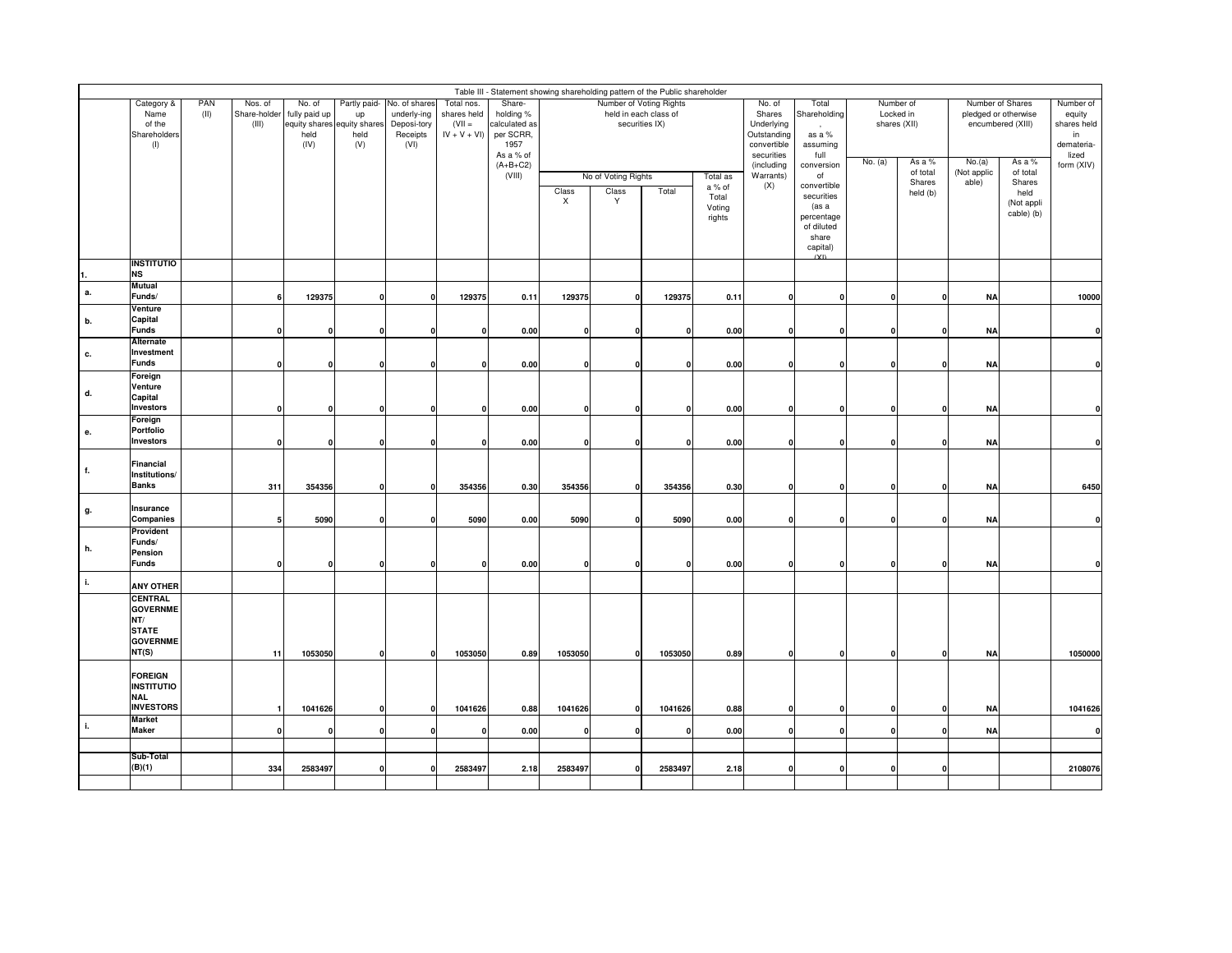|              | Table III - Statement showing shareholding pattern of the Public shareholder<br>Number of Voting Rights<br>Number of<br>Number of Shares   |  |              |                             |              |                  |                           |                      |                           |                       |                |                 |                            |                       |         |                    |                      |                   |                     |
|--------------|--------------------------------------------------------------------------------------------------------------------------------------------|--|--------------|-----------------------------|--------------|------------------|---------------------------|----------------------|---------------------------|-----------------------|----------------|-----------------|----------------------------|-----------------------|---------|--------------------|----------------------|-------------------|---------------------|
|              | PAN<br>Category &<br>Nos. of<br>No. of<br>Partly paid-<br>No. of shares<br>Name<br>(II)<br>Share-holder fully paid up<br>underly-ing<br>up |  |              |                             |              |                  | Total nos.<br>shares held | Share-<br>holding %  |                           | held in each class of |                |                 | No. of<br>Shares           | Total<br>Shareholding |         | Locked in          | pledged or otherwise |                   | Number of<br>equity |
|              | of the                                                                                                                                     |  | (III)        | equity shares equity shares |              | Deposi-tory      | $(VII =$                  | calculated as        |                           |                       | securities IX) |                 | Underlying                 | $\cdot$               |         | shares (XII)       |                      | encumbered (XIII) | shares held         |
|              | Shareholders<br>(1)                                                                                                                        |  |              | held<br>(IV)                | held<br>(V)  | Receipts<br>(VI) | $IV + V + VI$             | per SCRR,<br>1957    |                           |                       |                |                 | Outstanding<br>convertible | as a %<br>assuming    |         |                    |                      |                   | in<br>demateria-    |
|              |                                                                                                                                            |  |              |                             |              |                  |                           | As a % of            |                           |                       |                |                 | securities                 | full                  | No. (a) | As a %             | No.(a)               | As a %            | lized               |
|              |                                                                                                                                            |  |              |                             |              |                  |                           | $(A+B+C2)$<br>(VIII) |                           | No of Voting Rights   |                | Total as        | (including<br>Warrants)    | conversion<br>of      |         | of total           | (Not applic          | of total          | form (XIV)          |
|              |                                                                                                                                            |  |              |                             |              |                  |                           |                      | Class                     | Class                 | Total          | a % of          | (X)                        | convertible           |         | Shares<br>held (b) | able)                | Shares<br>held    |                     |
|              |                                                                                                                                            |  |              |                             |              |                  |                           |                      | $\boldsymbol{\mathsf{x}}$ | Y                     |                | Total<br>Voting |                            | securities<br>(as a   |         |                    |                      | (Not appli        |                     |
|              |                                                                                                                                            |  |              |                             |              |                  |                           |                      |                           |                       |                | rights          |                            | percentage            |         |                    |                      | cable) (b)        |                     |
|              |                                                                                                                                            |  |              |                             |              |                  |                           |                      |                           |                       |                |                 |                            | of diluted<br>share   |         |                    |                      |                   |                     |
|              |                                                                                                                                            |  |              |                             |              |                  |                           |                      |                           |                       |                |                 |                            | capital)              |         |                    |                      |                   |                     |
| $\mathbf 1$  | <b>INSTITUTIO</b><br><b>NS</b>                                                                                                             |  |              |                             |              |                  |                           |                      |                           |                       |                |                 |                            |                       |         |                    |                      |                   |                     |
|              | Mutual                                                                                                                                     |  |              |                             |              |                  |                           |                      |                           |                       |                |                 |                            |                       |         |                    |                      |                   |                     |
| а.           | Funds/                                                                                                                                     |  | 6            | 129375                      | $\mathbf{0}$ | $\Omega$         | 129375                    | 0.11                 | 129375                    | $\mathbf{0}$          | 129375         | 0.11            | 0                          | $\Omega$              |         | $\Omega$           | <b>NA</b>            |                   | 10000               |
| b.           | Venture<br>Capital                                                                                                                         |  |              |                             |              |                  |                           |                      |                           |                       |                |                 |                            |                       |         |                    |                      |                   |                     |
|              | <b>Funds</b>                                                                                                                               |  | $\mathbf 0$  | $\mathbf{0}$                | 0            | n                | $\mathbf{0}$              | 0.00                 | O                         | $\mathbf 0$           | O              | 0.00            | $\Omega$                   |                       |         |                    | <b>NA</b>            |                   | $\mathbf{0}$        |
|              | Alternate<br>Investment                                                                                                                    |  |              |                             |              |                  |                           |                      |                           |                       |                |                 |                            |                       |         |                    |                      |                   |                     |
| с.           | <b>Funds</b>                                                                                                                               |  | $\mathbf 0$  | $\mathbf{0}$                | $\mathbf{0}$ |                  | $\mathbf{0}$              | 0.00                 | $\Omega$                  | $\Omega$              | $\Omega$       | 0.00            | 0                          | O                     |         |                    | <b>NA</b>            |                   | $\mathbf{0}$        |
|              | Foreign                                                                                                                                    |  |              |                             |              |                  |                           |                      |                           |                       |                |                 |                            |                       |         |                    |                      |                   |                     |
| d.           | Venture<br>Capital                                                                                                                         |  |              |                             |              |                  |                           |                      |                           |                       |                |                 |                            |                       |         |                    |                      |                   |                     |
|              | <b>Investors</b>                                                                                                                           |  | $\mathbf 0$  | 0                           | 0            | 0                | 0                         | 0.00                 | 0                         | 0                     | 0              | 0.00            | 0                          | $\mathbf{0}$          |         | $\Omega$           | <b>NA</b>            |                   |                     |
|              | Foreign<br><b>Portfolio</b>                                                                                                                |  |              |                             |              |                  |                           |                      |                           |                       |                |                 |                            |                       |         |                    |                      |                   |                     |
| е.           | <b>Investors</b>                                                                                                                           |  | $\mathbf 0$  | $\mathbf 0$                 | $\mathbf{0}$ |                  | $\mathbf{0}$              | 0.00                 | $\mathbf{0}$              | $\Omega$              | 0              | 0.00            | $\mathbf 0$                | n                     |         |                    | <b>NA</b>            |                   |                     |
|              | Financial                                                                                                                                  |  |              |                             |              |                  |                           |                      |                           |                       |                |                 |                            |                       |         |                    |                      |                   |                     |
| f.           | Institutions/                                                                                                                              |  |              |                             |              |                  |                           |                      |                           |                       |                |                 |                            |                       |         |                    |                      |                   |                     |
|              | <b>Banks</b>                                                                                                                               |  | 311          | 354356                      | $\mathbf 0$  | $\mathbf{0}$     | 354356                    | 0.30                 | 354356                    | $\mathbf 0$           | 354356         | 0.30            | 0                          | $\mathbf{0}$          |         |                    | <b>NA</b>            |                   | 6450                |
| g.           | Insurance                                                                                                                                  |  |              |                             |              |                  |                           |                      |                           |                       |                |                 |                            |                       |         |                    |                      |                   |                     |
|              | Companies                                                                                                                                  |  | 5            | 5090                        | 0            |                  | 5090                      | 0.00                 | 5090                      | $\Omega$              | 5090           | 0.00            | $\mathbf 0$                | n                     |         |                    | <b>NA</b>            |                   | $\mathbf{0}$        |
|              | Provident<br>Funds/                                                                                                                        |  |              |                             |              |                  |                           |                      |                           |                       |                |                 |                            |                       |         |                    |                      |                   |                     |
| h.           | Pension                                                                                                                                    |  |              |                             |              |                  |                           |                      |                           |                       |                |                 |                            |                       |         |                    |                      |                   |                     |
|              | <b>Funds</b>                                                                                                                               |  | $\mathbf 0$  | $\mathbf 0$                 | $\mathbf{0}$ |                  | $\mathbf{0}$              | 0.00                 | $\Omega$                  | $\mathbf 0$           | $\mathbf{0}$   | 0.00            | $\Omega$                   |                       |         |                    | <b>NA</b>            |                   |                     |
| $\mathbf{i}$ | <b>ANY OTHER</b>                                                                                                                           |  |              |                             |              |                  |                           |                      |                           |                       |                |                 |                            |                       |         |                    |                      |                   |                     |
|              | <b>CENTRAL</b><br><b>GOVERNME</b>                                                                                                          |  |              |                             |              |                  |                           |                      |                           |                       |                |                 |                            |                       |         |                    |                      |                   |                     |
|              | NT/                                                                                                                                        |  |              |                             |              |                  |                           |                      |                           |                       |                |                 |                            |                       |         |                    |                      |                   |                     |
|              | <b>STATE</b>                                                                                                                               |  |              |                             |              |                  |                           |                      |                           |                       |                |                 |                            |                       |         |                    |                      |                   |                     |
|              | <b>GOVERNME</b><br>NT(S)                                                                                                                   |  | 11           | 1053050                     | $\mathbf{0}$ | $\mathbf{0}$     | 1053050                   | 0.89                 | 1053050                   | $\mathbf 0$           | 1053050        | 0.89            | 0                          | $\mathbf{0}$          |         | $\Omega$           | <b>NA</b>            |                   | 1050000             |
|              |                                                                                                                                            |  |              |                             |              |                  |                           |                      |                           |                       |                |                 |                            |                       |         |                    |                      |                   |                     |
|              | <b>FOREIGN</b><br><b>INSTITUTIO</b>                                                                                                        |  |              |                             |              |                  |                           |                      |                           |                       |                |                 |                            |                       |         |                    |                      |                   |                     |
|              | <b>NAL</b>                                                                                                                                 |  |              |                             |              |                  |                           |                      |                           |                       |                |                 |                            |                       |         |                    |                      |                   |                     |
|              | <b>INVESTORS</b><br><b>Market</b>                                                                                                          |  | $\mathbf{1}$ | 1041626                     | 0            | n                | 1041626                   | 0.88                 | 1041626                   | $\mathbf{0}$          | 1041626        | 0.88            | O                          | n                     |         |                    | <b>NA</b>            |                   | 1041626             |
| h.           | <b>Maker</b>                                                                                                                               |  | $\mathbf 0$  | $\mathbf 0$                 | $\mathbf{0}$ |                  | $\mathbf{0}$              | 0.00                 | $\mathbf{0}$              | $\Omega$              | $\Omega$       | 0.00            | $\Omega$                   | O                     |         |                    | <b>NA</b>            |                   | $\mathbf{0}$        |
|              |                                                                                                                                            |  |              |                             |              |                  |                           |                      |                           |                       |                |                 |                            |                       |         |                    |                      |                   |                     |
|              | Sub-Total<br>(B)(1)                                                                                                                        |  | 334          | 2583497                     | $\mathbf{0}$ | $\Omega$         | 2583497                   | 2.18                 | 2583497                   | $\Omega$              | 2583497        | 2.18            | $\Omega$                   | $\Omega$              |         | $\Omega$           |                      |                   | 2108076             |
|              |                                                                                                                                            |  |              |                             |              |                  |                           |                      |                           |                       |                |                 |                            |                       |         |                    |                      |                   |                     |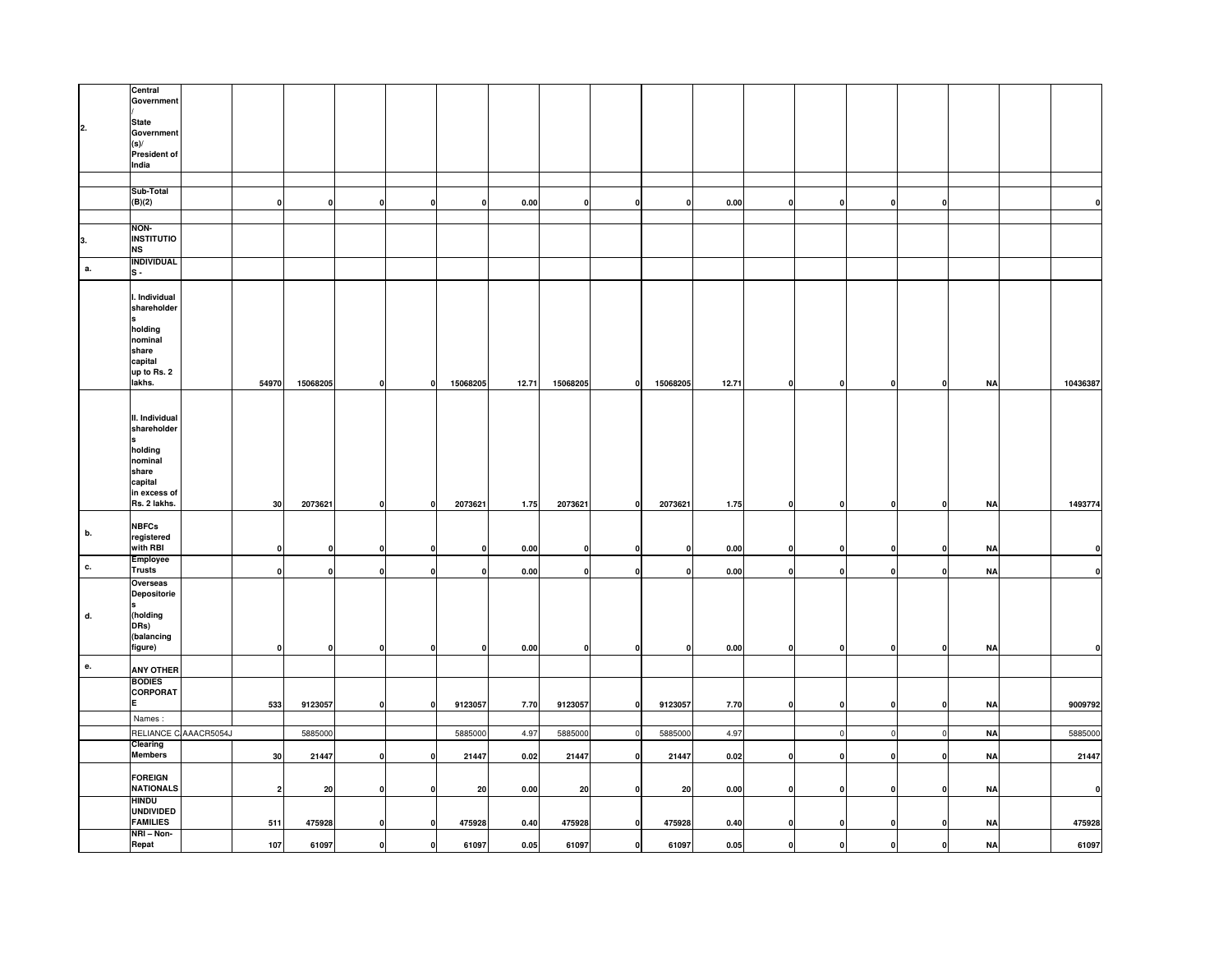|    | Central<br>Government                               |            |                         |              |              |                         |              |          |              |                    |          |          |              |              |              |              |           |              |
|----|-----------------------------------------------------|------------|-------------------------|--------------|--------------|-------------------------|--------------|----------|--------------|--------------------|----------|----------|--------------|--------------|--------------|--------------|-----------|--------------|
| 2. | <b>State</b><br>Government<br>(s)                   |            |                         |              |              |                         |              |          |              |                    |          |          |              |              |              |              |           |              |
|    | <b>President of</b><br>India                        |            |                         |              |              |                         |              |          |              |                    |          |          |              |              |              |              |           |              |
|    |                                                     |            |                         |              |              |                         |              |          |              |                    |          |          |              |              |              |              |           |              |
|    | Sub-Total<br>(B)(2)                                 |            | $\mathbf 0$             | $\mathbf{0}$ | $\mathbf{o}$ | $\Omega$                | $\mathbf{0}$ | $0.00\,$ | $\mathbf{0}$ | $\mathbf{0}$       | $\Omega$ | $0.00\,$ | $\mathbf{0}$ | $\mathbf{0}$ | $\Omega$     | $\mathbf{0}$ |           |              |
|    |                                                     |            |                         |              |              |                         |              |          |              |                    |          |          |              |              |              |              |           |              |
| 3. | NON-<br><b>INSTITUTIO</b><br><b>NS</b>              |            |                         |              |              |                         |              |          |              |                    |          |          |              |              |              |              |           |              |
| a. | <b>INDIVIDUAL</b><br>ls -                           |            |                         |              |              |                         |              |          |              |                    |          |          |              |              |              |              |           |              |
|    | I. Individual<br>shareholder<br>holding             |            |                         |              |              |                         |              |          |              |                    |          |          |              |              |              |              |           |              |
|    | nominal<br>share<br>capital<br>up to Rs. 2          |            |                         |              |              |                         |              |          |              |                    |          |          |              |              |              |              |           |              |
|    | lakhs.                                              |            | 54970                   | 15068205     | $\mathbf{0}$ | 0                       | 15068205     | 12.71    | 15068205     | $\pmb{\mathsf{o}}$ | 15068205 | 12.71    | $\mathbf{0}$ | $\mathbf{0}$ | $\mathbf{0}$ | $\mathbf{0}$ | <b>NA</b> | 10436387     |
|    | II. Individual<br>shareholder                       |            |                         |              |              |                         |              |          |              |                    |          |          |              |              |              |              |           |              |
|    | holding<br>nominal<br>share                         |            |                         |              |              |                         |              |          |              |                    |          |          |              |              |              |              |           |              |
|    | capital<br>in excess of<br>Rs. 2 lakhs.             |            | 30                      | 2073621      | $\mathbf 0$  | $\Omega$                | 2073621      | 1.75     | 2073621      | $\mathbf 0$        | 2073621  | 1.75     | o            | $\mathbf 0$  |              | $\mathbf{0}$ | <b>NA</b> | 1493774      |
| b. | <b>NBFCs</b><br>registered<br>with RBI              |            | $\mathbf 0$             | 0            | $\mathbf{0}$ |                         | $\mathbf{0}$ | 0.00     | 0            | $\mathbf 0$        |          | 0.00     | $\mathbf{0}$ | $\mathbf 0$  |              | $\mathbf{0}$ | <b>NA</b> |              |
| с. | <b>Employee</b>                                     |            |                         |              |              |                         |              |          |              |                    |          |          |              |              |              |              |           |              |
|    | <b>Trusts</b><br>Overseas                           |            | $\mathbf 0$             | $\mathbf{0}$ | $\mathbf{0}$ | $\Omega$                | $\mathbf 0$  | 0.00     | $\mathbf{0}$ | $\mathbf 0$        |          | $0.00\,$ | οl           | $\mathbf 0$  | $\Omega$     | $\mathbf 0$  | <b>NA</b> | n            |
| d. | <b>Depositorie</b><br>(holding                      |            |                         |              |              |                         |              |          |              |                    |          |          |              |              |              |              |           |              |
|    | DRs)<br>(balancing<br>figure)                       |            | 0                       | 0            | $\mathbf 0$  | 0                       | $\mathbf{0}$ | $0.00\,$ | 0            | 0                  |          | $0.00\,$ | $\Omega$     | $\mathbf{0}$ |              | $\mathbf 0$  | <b>NA</b> | n            |
| е. | <b>ANY OTHER</b>                                    |            |                         |              |              |                         |              |          |              |                    |          |          |              |              |              |              |           |              |
|    | <b>BODIES</b><br>CORPORAT<br>E                      |            | 533                     | 9123057      | $\mathbf{o}$ | $\Omega$                | 9123057      | 7.70     | 9123057      | $\mathbf 0$        | 9123057  | 7.70     | $\mathbf{0}$ | $\mathbf{o}$ | $\mathbf 0$  | $\mathbf{0}$ | <b>NA</b> | 9009792      |
|    | Names:                                              |            |                         |              |              |                         |              |          |              |                    |          |          |              |              |              |              |           |              |
|    | <b>RELIANCE O</b>                                   | AAACR5054J |                         | 5885000      |              |                         | 5885000      | 4.97     | 5885000      | $\overline{0}$     | 5885000  | 4.97     |              | $\circ$      |              | $\circ$      | <b>NA</b> | 5885000      |
|    | Clearing<br><b>Members</b>                          |            | 30                      | 21447        | $\mathbf{0}$ |                         | 21447        | 0.02     | 21447        | 0                  | 21447    | 0.02     | $\mathbf{0}$ | $\mathbf{0}$ |              | $\mathbf 0$  | <b>NA</b> | 21447        |
|    | <b>FOREIGN</b><br><b>NATIONALS</b>                  |            | $\overline{\mathbf{2}}$ | 20           | $\mathbf{0}$ |                         | 20           | $0.00\,$ | 20           | $\mathbf 0$        | 20       | $0.00\,$ | $\mathbf{0}$ | $\mathbf{o}$ | $\mathbf{0}$ | $\mathbf{0}$ | <b>NA</b> | $\mathbf{0}$ |
|    | <b>HINDU</b><br><b>UNDIVIDED</b><br><b>FAMILIES</b> |            | 511                     | 475928       | $\mathbf 0$  |                         | 475928       | 0.40     | 475928       | $\mathbf 0$        | 475928   | 0.40     | $\Omega$     | $\mathbf 0$  |              | 0            | <b>NA</b> | 475928       |
|    | NRI-Non-<br>Repat                                   |            | 107                     | 61097        | $\mathbf{o}$ | $\overline{\mathbf{0}}$ | 61097        | 0.05     | 61097        | $\mathbf 0$        | 61097    | 0.05     | $\mathbf{0}$ | $\mathbf{0}$ | 0            | $\mathbf{0}$ | <b>NA</b> | 61097        |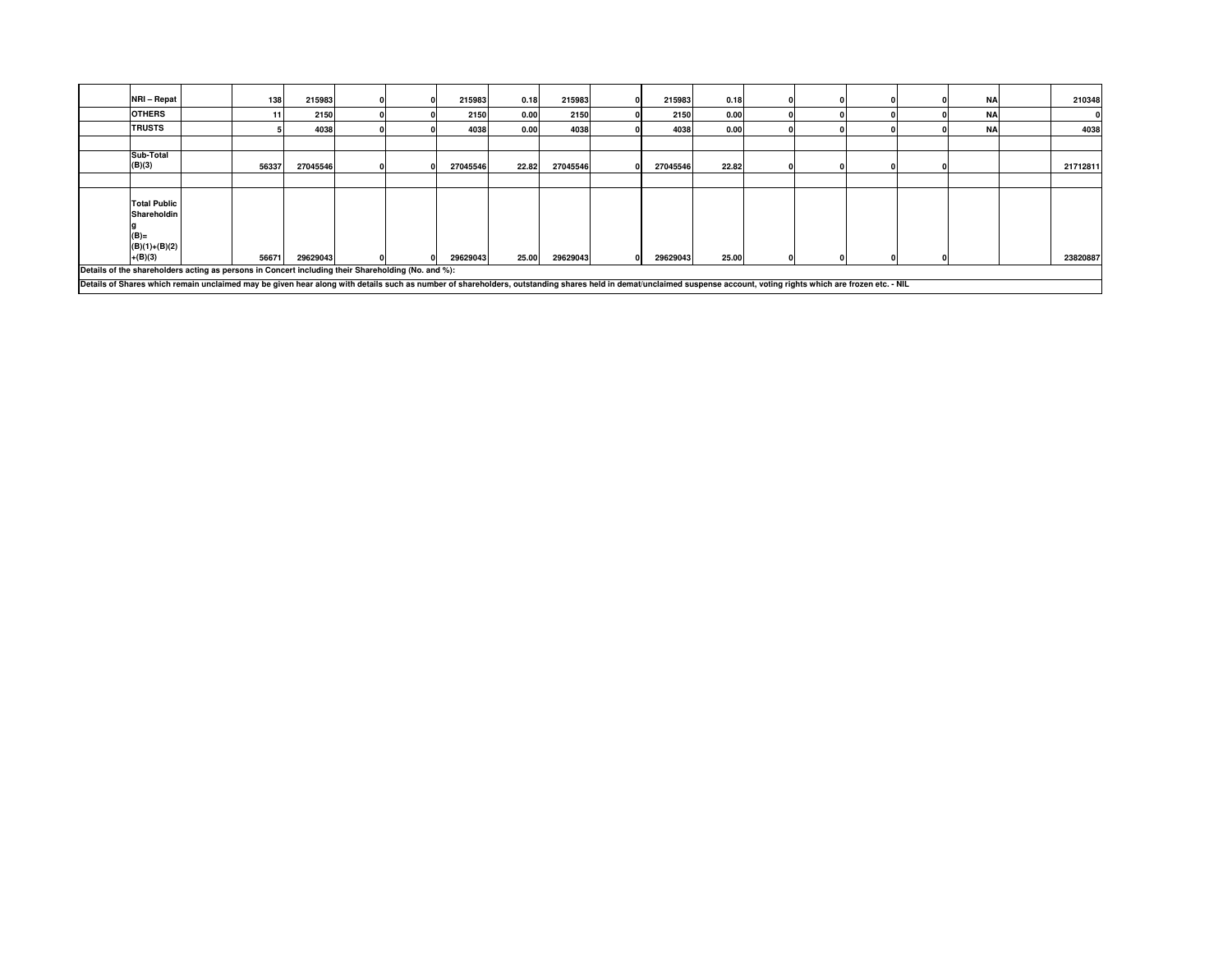|                                                                                                                                                                                                                      | NRI - Repat                                                                | 138   | 215983   |  | 215983   | 0.18  | 215983   | 215983   | 0.18  |  |  | <b>NA</b> | 210348   |
|----------------------------------------------------------------------------------------------------------------------------------------------------------------------------------------------------------------------|----------------------------------------------------------------------------|-------|----------|--|----------|-------|----------|----------|-------|--|--|-----------|----------|
|                                                                                                                                                                                                                      | <b>OTHERS</b>                                                              | 11    | 2150     |  | 2150     | 0.00  | 2150     | 2150     | 0.00  |  |  | <b>NA</b> |          |
|                                                                                                                                                                                                                      | <b>TRUSTS</b>                                                              |       | 4038     |  | 4038     | 0.00  | 4038     | 4038     | 0.00  |  |  | <b>NA</b> | 4038     |
|                                                                                                                                                                                                                      |                                                                            |       |          |  |          |       |          |          |       |  |  |           |          |
|                                                                                                                                                                                                                      | Sub-Total<br>(B)(3)                                                        | 56337 | 27045546 |  | 27045546 | 22.82 | 27045546 | 27045546 | 22.82 |  |  |           | 21712811 |
|                                                                                                                                                                                                                      |                                                                            |       |          |  |          |       |          |          |       |  |  |           |          |
| Details of the shareholders acting as persons in Concert including their Shareholding (No. and %):                                                                                                                   | <b>Total Public</b><br>Shareholdin<br>$(B)=$<br>$(B)(1)+(B)(2)$<br>+(B)(3) | 56671 | 29629043 |  | 29629043 | 25.00 | 29629043 | 29629043 | 25.00 |  |  |           | 23820887 |
| Details of Shares which remain unclaimed may be given hear along with details such as number of shareholders, outstanding shares held in demat/unclaimed suspense account, voting rights which are frozen etc. - NIL |                                                                            |       |          |  |          |       |          |          |       |  |  |           |          |